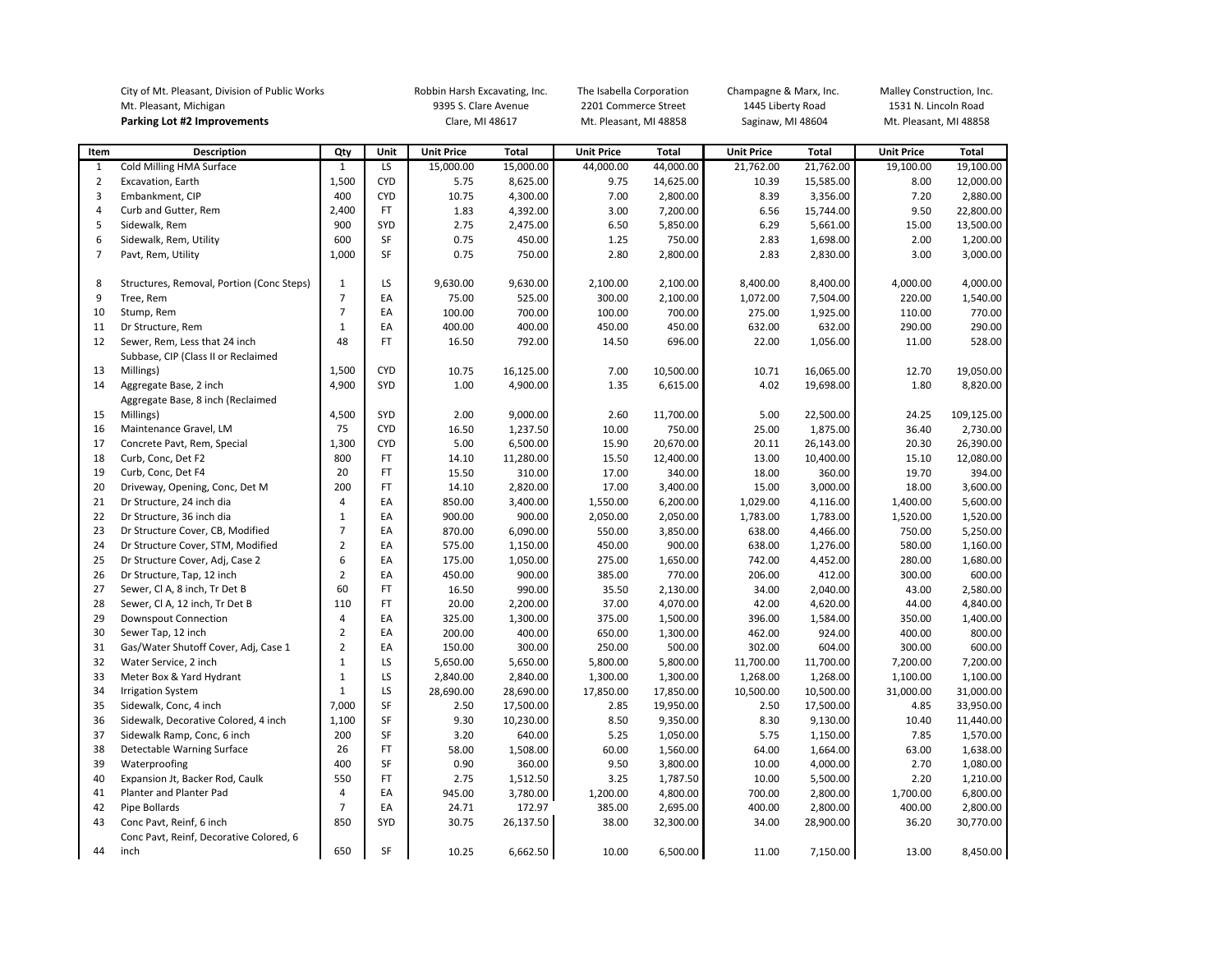|                | City of Mt. Pleasant, Division of Public Works |                | Robbin Harsh Excavating, Inc. |                      | The Isabella Corporation |                        | Champagne & Marx, Inc. |                   | Malley Construction, Inc. |                        |              |
|----------------|------------------------------------------------|----------------|-------------------------------|----------------------|--------------------------|------------------------|------------------------|-------------------|---------------------------|------------------------|--------------|
|                | Mt. Pleasant, Michigan                         |                |                               | 9395 S. Clare Avenue |                          |                        | 2201 Commerce Street   |                   | 1445 Liberty Road         | 1531 N. Lincoln Road   |              |
|                | Parking Lot #2 Improvements                    |                |                               | Clare, MI 48617      |                          | Mt. Pleasant, MI 48858 |                        | Saginaw, MI 48604 |                           | Mt. Pleasant, MI 48858 |              |
|                |                                                |                |                               |                      |                          |                        |                        |                   |                           |                        |              |
| Item           | <b>Description</b>                             | Qty            | Unit                          | <b>Unit Price</b>    | Total                    | <b>Unit Price</b>      | <b>Total</b>           | <b>Unit Price</b> | <b>Total</b>              | <b>Unit Price</b>      | <b>Total</b> |
| 1              | Cold Milling HMA Surface                       | $\mathbf{1}$   | LS                            | 15,000.00            | 15,000.00                | 44,000.00              | 44,000.00              | 21,762.00         | 21,762.00                 | 19,100.00              | 19,100.00    |
| $\overline{2}$ | Excavation, Earth                              | 1,500          | <b>CYD</b>                    | 5.75                 | 8,625.00                 | 9.75                   | 14,625.00              | 10.39             | 15,585.00                 | 8.00                   | 12,000.00    |
| 3              | Embankment, CIP                                | 400            | <b>CYD</b>                    | 10.75                | 4,300.00                 | 7.00                   | 2,800.00               | 8.39              | 3,356.00                  | 7.20                   | 2,880.00     |
| $\overline{4}$ | Curb and Gutter, Rem                           | 2,400          | FT                            | 1.83                 | 4,392.00                 | 3.00                   | 7,200.00               | 6.56              | 15,744.00                 | 9.50                   | 22,800.00    |
| 5              | Sidewalk, Rem                                  | 900            | SYD                           | 2.75                 | 2,475.00                 | 6.50                   | 5,850.00               | 6.29              | 5,661.00                  | 15.00                  | 13,500.00    |
| 6              | Sidewalk, Rem, Utility                         | 600            | SF                            | 0.75                 | 450.00                   | 1.25                   | 750.00                 | 2.83              | 1,698.00                  | 2.00                   | 1,200.00     |
| $\overline{7}$ | Pavt, Rem, Utility                             | 1,000          | SF                            | 0.75                 | 750.00                   | 2.80                   | 2,800.00               | 2.83              | 2,830.00                  | 3.00                   | 3,000.00     |
| 8              | Structures, Removal, Portion (Conc Steps)      | 1              | LS                            | 9,630.00             | 9,630.00                 | 2,100.00               | 2,100.00               | 8,400.00          | 8,400.00                  | 4,000.00               | 4,000.00     |
| 9              | Tree, Rem                                      | 7              | EA                            | 75.00                | 525.00                   | 300.00                 | 2,100.00               | 1,072.00          | 7,504.00                  | 220.00                 | 1,540.00     |
| 10             | Stump, Rem                                     | $\overline{7}$ | EA                            | 100.00               | 700.00                   | 100.00                 | 700.00                 | 275.00            | 1,925.00                  | 110.00                 | 770.00       |
| 11             | Dr Structure, Rem                              | $\mathbf{1}$   | EA                            | 400.00               | 400.00                   | 450.00                 | 450.00                 | 632.00            | 632.00                    | 290.00                 | 290.00       |
| 12             | Sewer, Rem, Less that 24 inch                  | 48             | FT                            | 16.50                | 792.00                   | 14.50                  | 696.00                 | 22.00             | 1,056.00                  | 11.00                  | 528.00       |
|                | Subbase, CIP (Class II or Reclaimed            |                |                               |                      |                          |                        |                        |                   |                           |                        |              |
| 13             | Millings)                                      | 1,500          | <b>CYD</b>                    | 10.75                | 16,125.00                | 7.00                   | 10,500.00              | 10.71             | 16,065.00                 | 12.70                  | 19,050.00    |
| 14             | Aggregate Base, 2 inch                         | 4,900          | SYD                           | 1.00                 | 4,900.00                 | 1.35                   | 6,615.00               | 4.02              | 19,698.00                 | 1.80                   | 8,820.00     |
|                | Aggregate Base, 8 inch (Reclaimed              |                |                               |                      |                          |                        |                        |                   |                           |                        |              |
| 15             | Millings)                                      | 4,500          | SYD                           | 2.00                 | 9,000.00                 | 2.60                   | 11,700.00              | 5.00              | 22,500.00                 | 24.25                  | 109,125.00   |
| 16             | Maintenance Gravel, LM                         | 75             | <b>CYD</b>                    | 16.50                | 1,237.50                 | 10.00                  | 750.00                 | 25.00             | 1,875.00                  | 36.40                  | 2,730.00     |
| 17             | Concrete Pavt, Rem, Special                    | 1,300          | <b>CYD</b>                    | 5.00                 | 6,500.00                 | 15.90                  | 20,670.00              | 20.11             | 26,143.00                 | 20.30                  | 26,390.00    |
| 18             | Curb, Conc, Det F2                             | 800            | FT                            | 14.10                | 11,280.00                | 15.50                  | 12,400.00              | 13.00             | 10,400.00                 | 15.10                  | 12,080.00    |
| 19             | Curb, Conc, Det F4                             | 20             | FT                            | 15.50                | 310.00                   | 17.00                  | 340.00                 | 18.00             | 360.00                    | 19.70                  | 394.00       |
| 20             | Driveway, Opening, Conc, Det M                 | 200            | FT                            | 14.10                | 2,820.00                 | 17.00                  | 3,400.00               | 15.00             | 3,000.00                  | 18.00                  | 3,600.00     |
| 21             | Dr Structure, 24 inch dia                      | 4              | EA                            | 850.00               | 3,400.00                 | 1,550.00               | 6,200.00               | 1,029.00          | 4,116.00                  | 1,400.00               | 5,600.00     |
| 22             | Dr Structure, 36 inch dia                      | $\mathbf{1}$   | EA                            | 900.00               | 900.00                   | 2,050.00               | 2,050.00               | 1,783.00          | 1,783.00                  | 1,520.00               | 1,520.00     |
| 23             | Dr Structure Cover, CB, Modified               | $\overline{7}$ | EA                            | 870.00               | 6,090.00                 | 550.00                 | 3,850.00               | 638.00            | 4,466.00                  | 750.00                 | 5,250.00     |
| 24             | Dr Structure Cover, STM, Modified              | $\overline{2}$ | EA                            | 575.00               | 1,150.00                 | 450.00                 | 900.00                 | 638.00            | 1,276.00                  | 580.00                 | 1,160.00     |
| 25             | Dr Structure Cover, Adj, Case 2                | 6              | EA                            | 175.00               | 1,050.00                 | 275.00                 | 1,650.00               | 742.00            | 4,452.00                  | 280.00                 | 1,680.00     |
| 26             | Dr Structure, Tap, 12 inch                     | $\overline{2}$ | EA                            | 450.00               | 900.00                   | 385.00                 | 770.00                 | 206.00            | 412.00                    | 300.00                 | 600.00       |
| 27             | Sewer, Cl A, 8 inch, Tr Det B                  | 60             | FT                            | 16.50                | 990.00                   | 35.50                  | 2,130.00               | 34.00             | 2,040.00                  | 43.00                  | 2,580.00     |
| 28             | Sewer, Cl A, 12 inch, Tr Det B                 | 110            | FT                            | 20.00                | 2,200.00                 | 37.00                  | 4,070.00               | 42.00             | 4,620.00                  | 44.00                  | 4,840.00     |
| 29             | <b>Downspout Connection</b>                    | $\overline{4}$ | EA                            | 325.00               | 1,300.00                 | 375.00                 | 1,500.00               | 396.00            | 1,584.00                  | 350.00                 | 1,400.00     |
| 30             | Sewer Tap, 12 inch                             | $\overline{2}$ | EA                            | 200.00               | 400.00                   | 650.00                 | 1,300.00               | 462.00            | 924.00                    | 400.00                 | 800.00       |
| 31             | Gas/Water Shutoff Cover, Adj, Case 1           | $\overline{2}$ | EA                            | 150.00               | 300.00                   | 250.00                 | 500.00                 | 302.00            | 604.00                    | 300.00                 | 600.00       |
| 32             | Water Service, 2 inch                          | $\mathbf{1}$   | LS                            | 5,650.00             | 5,650.00                 | 5,800.00               | 5,800.00               | 11,700.00         | 11,700.00                 | 7,200.00               | 7,200.00     |
| 33             | Meter Box & Yard Hydrant                       | $\mathbf{1}$   | LS                            | 2,840.00             | 2,840.00                 | 1,300.00               | 1,300.00               | 1,268.00          | 1,268.00                  | 1,100.00               | 1,100.00     |
| 34             | <b>Irrigation System</b>                       | $\mathbf{1}$   | LS                            | 28,690.00            | 28,690.00                | 17,850.00              | 17,850.00              | 10,500.00         | 10,500.00                 | 31,000.00              | 31,000.00    |
| 35             | Sidewalk, Conc, 4 inch                         | 7,000          | SF                            | 2.50                 | 17,500.00                | 2.85                   | 19,950.00              | 2.50              | 17,500.00                 | 4.85                   | 33,950.00    |
| 36             | Sidewalk, Decorative Colored, 4 inch           | 1,100          | SF                            | 9.30                 | 10,230.00                | 8.50                   | 9,350.00               | 8.30              | 9,130.00                  | 10.40                  | 11,440.00    |
| 37             | Sidewalk Ramp, Conc, 6 inch                    | 200            | SF                            | 3.20                 | 640.00                   | 5.25                   | 1,050.00               | 5.75              | 1,150.00                  | 7.85                   | 1,570.00     |
| 38             | Detectable Warning Surface                     | 26             | FT                            | 58.00                | 1,508.00                 | 60.00                  | 1,560.00               | 64.00             | 1,664.00                  | 63.00                  | 1,638.00     |
| 39             | Waterproofing                                  | 400            | SF                            | 0.90                 | 360.00                   | 9.50                   | 3,800.00               | 10.00             | 4,000.00                  | 2.70                   | 1,080.00     |
| 40             | Expansion Jt, Backer Rod, Caulk                | 550            | FT                            | 2.75                 | 1,512.50                 | 3.25                   | 1,787.50               | 10.00             | 5,500.00                  | 2.20                   | 1,210.00     |
| 41             | Planter and Planter Pad                        | 4              | EA                            | 945.00               | 3,780.00                 | 1,200.00               | 4,800.00               | 700.00            | 2,800.00                  | 1,700.00               | 6,800.00     |
| 42             | Pipe Bollards                                  | $\overline{7}$ | EA                            | 24.71                | 172.97                   | 385.00                 | 2,695.00               | 400.00            | 2,800.00                  | 400.00                 | 2,800.00     |
| 43             | Conc Pavt, Reinf, 6 inch                       | 850            | SYD                           | 30.75                | 26,137.50                | 38.00                  | 32,300.00              | 34.00             | 28,900.00                 | 36.20                  | 30,770.00    |
|                | Conc Pavt, Reinf, Decorative Colored, 6        |                |                               |                      |                          |                        |                        |                   |                           |                        |              |
| 44             | inch                                           | 650            | SF                            | 10.25                | 6,662.50                 | 10.00                  | 6,500.00               | 11.00             | 7,150.00                  | 13.00                  | 8,450.00     |